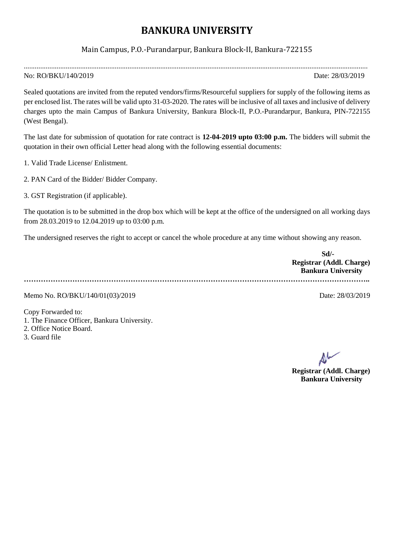## **BANKURA UNIVERSITY**

## Main Campus, P.O.-Purandarpur, Bankura Block-II, Bankura-722155

.............................................................................................................................................................................................

## No: RO/BKU/140/2019 Date: 28/03/2019

Sealed quotations are invited from the reputed vendors/firms/Resourceful suppliers for supply of the following items as per enclosed list. The rates will be valid upto 31-03-2020. The rates will be inclusive of all taxes and inclusive of delivery charges upto the main Campus of Bankura University, Bankura Block-II, P.O.-Purandarpur, Bankura, PIN-722155 (West Bengal).

The last date for submission of quotation for rate contract is **12-04-2019 upto 03:00 p.m.** The bidders will submit the quotation in their own official Letter head along with the following essential documents:

1. Valid Trade License/ Enlistment.

2. PAN Card of the Bidder/ Bidder Company.

3. GST Registration (if applicable).

The quotation is to be submitted in the drop box which will be kept at the office of the undersigned on all working days from 28.03.2019 to 12.04.2019 up to 03:00 p.m.

The undersigned reserves the right to accept or cancel the whole procedure at any time without showing any reason.

| Sd                        |  |
|---------------------------|--|
| Registrar (Addl. Charge)  |  |
| <b>Bankura University</b> |  |
|                           |  |

Memo No. RO/BKU/140/01(03)/2019 Date: 28/03/2019

Copy Forwarded to: 1. The Finance Officer, Bankura University. 2. Office Notice Board.

3. Guard file

**Registrar (Addl. Charge) Bankura University**